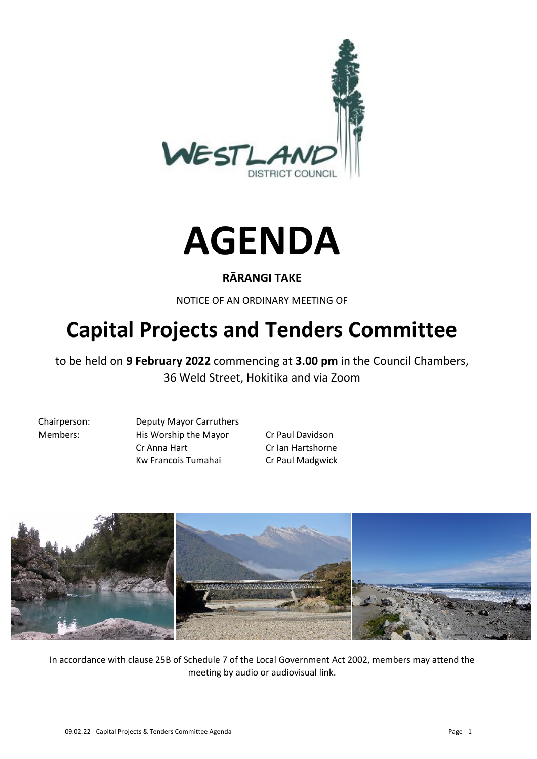



# **RĀRANGI TAKE**

NOTICE OF AN ORDINARY MEETING OF

# **Capital Projects and Tenders Committee**

to be held on **9 February 2022** commencing at **3.00 pm** in the Council Chambers, 36 Weld Street, Hokitika and via Zoom

Chairperson: Deputy Mayor Carruthers Members: His Worship the Mayor Cr Paul Davidson Cr Anna Hart Cr Ian Hartshorne Kw Francois Tumahai Cr Paul Madgwick



In accordance with clause 25B of Schedule 7 of the Local Government Act 2002, members may attend the meeting by audio or audiovisual link.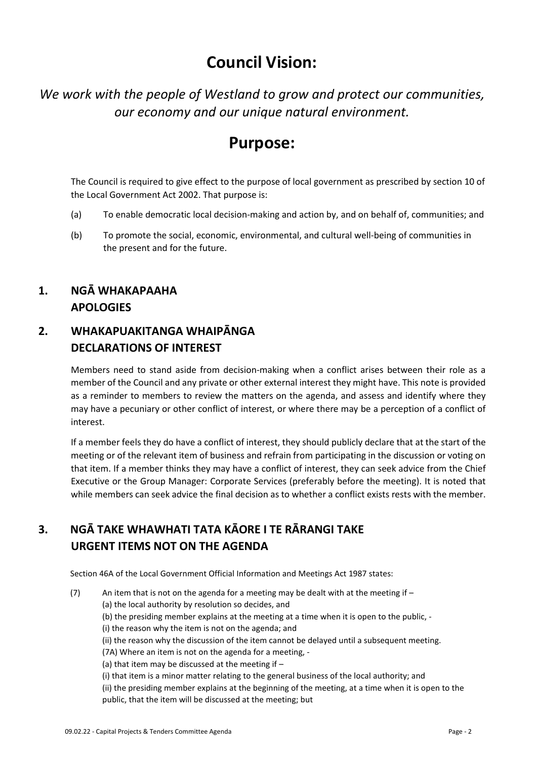# **Council Vision:**

*We work with the people of Westland to grow and protect our communities, our economy and our unique natural environment.* 

# **Purpose:**

The Council is required to give effect to the purpose of local government as prescribed by section 10 of the Local Government Act 2002. That purpose is:

- (a) To enable democratic local decision-making and action by, and on behalf of, communities; and
- (b) To promote the social, economic, environmental, and cultural well-being of communities in the present and for the future.

# **1. NGĀ WHAKAPAAHA APOLOGIES**

# **2. WHAKAPUAKITANGA WHAIPĀNGA DECLARATIONS OF INTEREST**

Members need to stand aside from decision-making when a conflict arises between their role as a member of the Council and any private or other external interest they might have. This note is provided as a reminder to members to review the matters on the agenda, and assess and identify where they may have a pecuniary or other conflict of interest, or where there may be a perception of a conflict of interest.

If a member feels they do have a conflict of interest, they should publicly declare that at the start of the meeting or of the relevant item of business and refrain from participating in the discussion or voting on that item. If a member thinks they may have a conflict of interest, they can seek advice from the Chief Executive or the Group Manager: Corporate Services (preferably before the meeting). It is noted that while members can seek advice the final decision as to whether a conflict exists rests with the member.

# **3. NGĀ TAKE WHAWHATI TATA KĀORE I TE RĀRANGI TAKE URGENT ITEMS NOT ON THE AGENDA**

Section 46A of the Local Government Official Information and Meetings Act 1987 states:

(7) An item that is not on the agenda for a meeting may be dealt with at the meeting if – (a) the local authority by resolution so decides, and (b) the presiding member explains at the meeting at a time when it is open to the public, - (i) the reason why the item is not on the agenda; and (ii) the reason why the discussion of the item cannot be delayed until a subsequent meeting. (7A) Where an item is not on the agenda for a meeting, - (a) that item may be discussed at the meeting if  $-$ (i) that item is a minor matter relating to the general business of the local authority; and (ii) the presiding member explains at the beginning of the meeting, at a time when it is open to the

public, that the item will be discussed at the meeting; but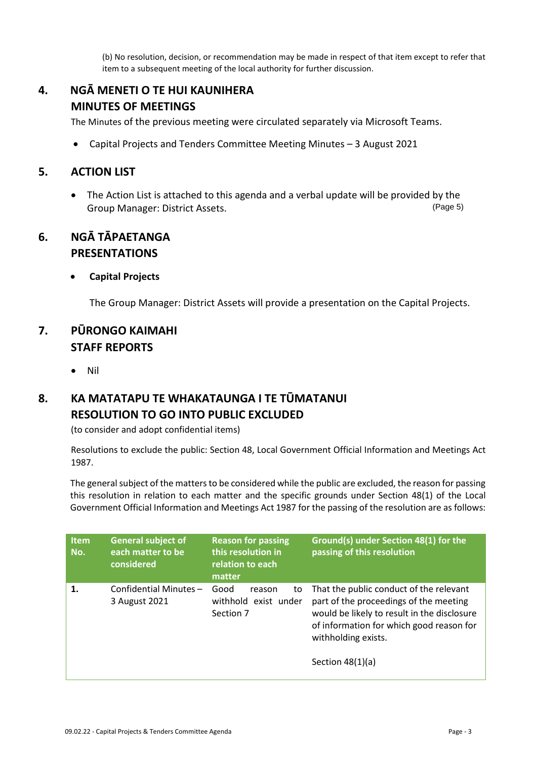(b) No resolution, decision, or recommendation may be made in respect of that item except to refer that item to a subsequent meeting of the local authority for further discussion.

# **4. NGĀ MENETI O TE HUI KAUNIHERA MINUTES OF MEETINGS**

The Minutes of the previous meeting were circulated separately via Microsoft Teams.

Capital Projects and Tenders Committee Meeting Minutes – 3 August 2021

#### **5. ACTION LIST**

• The Action List is attached to this agenda and a verbal update will be provided by the Group Manager: District Assets. (Page 5)

### **6. NGĀ TĀPAETANGA PRESENTATIONS**

#### **Capital Projects**

The Group Manager: District Assets will provide a presentation on the Capital Projects.

### **7. PŪRONGO KAIMAHI STAFF REPORTS**

Nil

# **8. KA MATATAPU TE WHAKATAUNGA I TE TŪMATANUI RESOLUTION TO GO INTO PUBLIC EXCLUDED**

(to consider and adopt confidential items)

Resolutions to exclude the public: Section 48, Local Government Official Information and Meetings Act 1987.

The general subject of the matters to be considered while the public are excluded, the reason for passing this resolution in relation to each matter and the specific grounds under Section 48(1) of the Local Government Official Information and Meetings Act 1987 for the passing of the resolution are as follows:

| <b>Item</b><br>No. | <b>General subject of</b><br>each matter to be<br>considered | <b>Reason for passing</b><br>this resolution in<br>relation to each<br>matter | Ground(s) under Section 48(1) for the<br>passing of this resolution                                                                                                                                                       |
|--------------------|--------------------------------------------------------------|-------------------------------------------------------------------------------|---------------------------------------------------------------------------------------------------------------------------------------------------------------------------------------------------------------------------|
| 1.                 | Confidential Minutes-<br>3 August 2021                       | Good<br>to<br>reason<br>withhold exist under<br>Section 7                     | That the public conduct of the relevant<br>part of the proceedings of the meeting<br>would be likely to result in the disclosure<br>of information for which good reason for<br>withholding exists.<br>Section $48(1)(a)$ |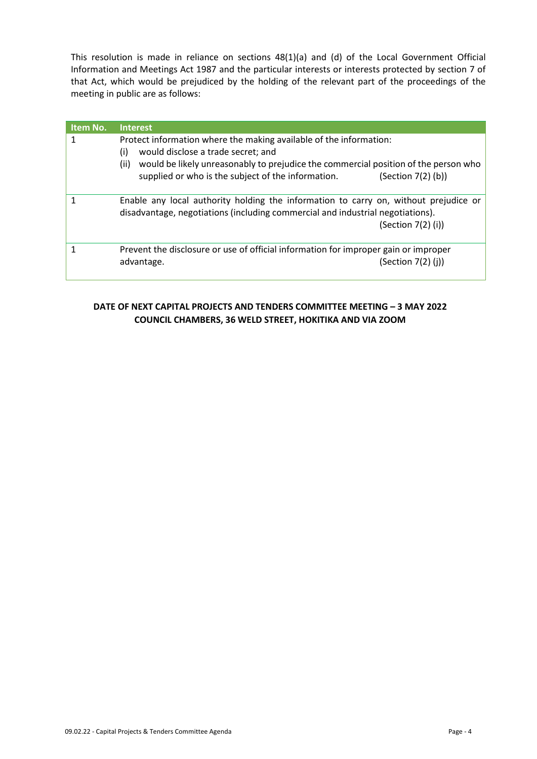This resolution is made in reliance on sections 48(1)(a) and (d) of the Local Government Official Information and Meetings Act 1987 and the particular interests or interests protected by section 7 of that Act, which would be prejudiced by the holding of the relevant part of the proceedings of the meeting in public are as follows:

| Item No. | <b>Interest</b>                                                                                                                                                                                                                                                                            |
|----------|--------------------------------------------------------------------------------------------------------------------------------------------------------------------------------------------------------------------------------------------------------------------------------------------|
|          | Protect information where the making available of the information:<br>(i)<br>would disclose a trade secret; and<br>would be likely unreasonably to prejudice the commercial position of the person who<br>(ii)<br>supplied or who is the subject of the information.<br>(Section 7(2) (b)) |
|          | Enable any local authority holding the information to carry on, without prejudice or<br>disadvantage, negotiations (including commercial and industrial negotiations).<br>(Section $7(2)$ (i))                                                                                             |
|          | Prevent the disclosure or use of official information for improper gain or improper<br>(Section 7(2) (j))<br>advantage.                                                                                                                                                                    |

#### **DATE OF NEXT CAPITAL PROJECTS AND TENDERS COMMITTEE MEETING – 3 MAY 2022 COUNCIL CHAMBERS, 36 WELD STREET, HOKITIKA AND VIA ZOOM**